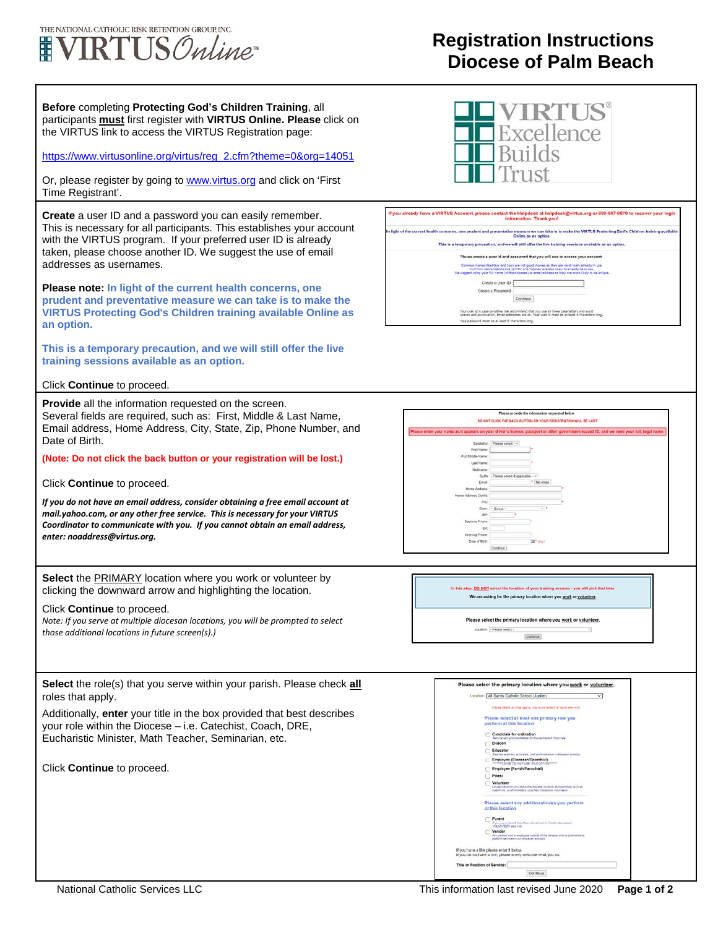## THE NATIONAL CATHOLIC RISK RETENTION GROUP INC. **VIRTUS** Online

## **Registration Instructions Diocese of Palm Beach**

**Before** completing **Protecting God's Children Training**, all participants **must** first register with **VIRTUS Online. Please** click on the VIRTUS link to access the VIRTUS Registration page: [https://www.virtusonline.org/virtus/reg\\_2.cfm?theme=0&org=14051](https://www.virtusonline.org/virtus/reg_2.cfm?theme=0&org=14051) Or, please register by going to **www.virtus.org** and click on 'First Time Registrant'. **Create** a user ID and a password you can easily remember. This is necessary for all participants. This establishes your account with the VIRTUS program. If your preferred user ID is already taken, please choose another ID. We suggest the use of email addresses as usernames. **Please note: In light of the current health concerns, one prudent and preventative measure we can take is to make the VIRTUS Protecting God's Children training available Online as an option. This is a temporary precaution, and we will still offer the live training sessions available as an option.** Click **Continue** to proceed. **Provide** all the information requested on the screen. Several fields are required, such as: First, Middle & Last Name, Email address, Home Address, City, State, Zip, Phone Number, and Date of Birth. **First Name (Note: Do not click the back button or your registration will be lost.)** Full Middle Name Lost Name Click **Continue** to proceed. *If you do not have an email address, consider obtaining a free email account at*  Oty *mail.yahoo.com, or any other free service. This is necessary for your VIRTUS Coordinator to communicate with you. If you cannot obtain an email address,*   $\epsilon$ *enter: noaddress@virtus.org.* **Select** the PRIMARY location where you work or volunteer by clicking the downward arrow and highlighting the location. Click **Continue** to proceed. *Note: If you serve at multiple diocesan locations, you will be prompted to select those additional locations in future screen(s).)* **Select** the role(s) that you serve within your parish. Please check **all** roles that apply. Additionally, **enter** your title in the box provided that best describes your role within the Diocese – i.e. Catechist, Coach, DRE, Eucharistic Minister, Math Teacher, Seminarian, etc. ö Click **Continue** to proceed.









Please select the primary location where you work or volunteer. Locator: - Please select - $\sim$ Continue